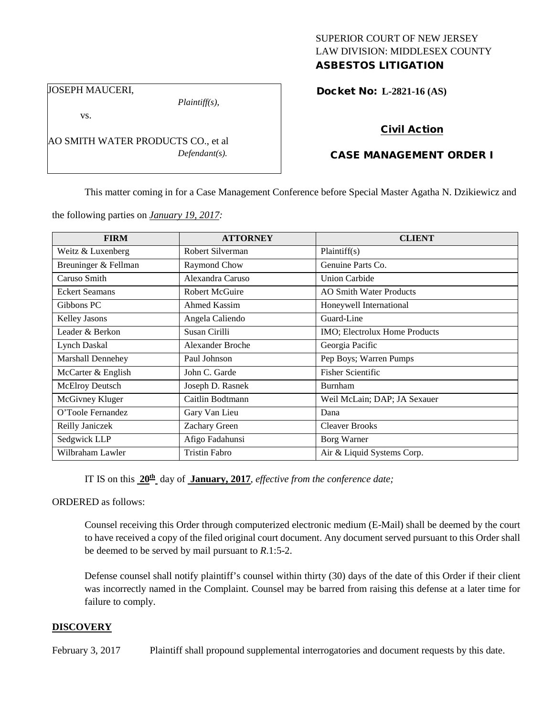## SUPERIOR COURT OF NEW JERSEY LAW DIVISION: MIDDLESEX COUNTY ASBESTOS LITIGATION

Docket No: **L-2821-16 (AS)** 

JOSEPH MAUCERI,

vs.

*Plaintiff(s),*

*Defendant(s).*

Civil Action

## CASE MANAGEMENT ORDER I

This matter coming in for a Case Management Conference before Special Master Agatha N. Dzikiewicz and

the following parties on *January 19, 2017:*

AO SMITH WATER PRODUCTS CO., et al

| <b>FIRM</b>            | <b>ATTORNEY</b>         | <b>CLIENT</b>                  |
|------------------------|-------------------------|--------------------------------|
| Weitz & Luxenberg      | Robert Silverman        | Plaintiff(s)                   |
| Breuninger & Fellman   | Raymond Chow            | Genuine Parts Co.              |
| Caruso Smith           | Alexandra Caruso        | <b>Union Carbide</b>           |
| <b>Eckert Seamans</b>  | <b>Robert McGuire</b>   | <b>AO Smith Water Products</b> |
| Gibbons PC             | Ahmed Kassim            | Honeywell International        |
| <b>Kelley Jasons</b>   | Angela Caliendo         | Guard-Line                     |
| Leader & Berkon        | Susan Cirilli           | IMO; Electrolux Home Products  |
| <b>Lynch Daskal</b>    | <b>Alexander Broche</b> | Georgia Pacific                |
| Marshall Dennehey      | Paul Johnson            | Pep Boys; Warren Pumps         |
| McCarter & English     | John C. Garde           | <b>Fisher Scientific</b>       |
| <b>McElroy Deutsch</b> | Joseph D. Rasnek        | Burnham                        |
| McGivney Kluger        | Caitlin Bodtmann        | Weil McLain; DAP; JA Sexauer   |
| O'Toole Fernandez      | Gary Van Lieu           | Dana                           |
| Reilly Janiczek        | Zachary Green           | <b>Cleaver Brooks</b>          |
| Sedgwick LLP           | Afigo Fadahunsi         | Borg Warner                    |
| Wilbraham Lawler       | <b>Tristin Fabro</b>    | Air & Liquid Systems Corp.     |

IT IS on this **20th** day of **January, 2017**, *effective from the conference date;*

ORDERED as follows:

Counsel receiving this Order through computerized electronic medium (E-Mail) shall be deemed by the court to have received a copy of the filed original court document. Any document served pursuant to this Order shall be deemed to be served by mail pursuant to *R*.1:5-2.

Defense counsel shall notify plaintiff's counsel within thirty (30) days of the date of this Order if their client was incorrectly named in the Complaint. Counsel may be barred from raising this defense at a later time for failure to comply.

#### **DISCOVERY**

February 3, 2017 Plaintiff shall propound supplemental interrogatories and document requests by this date.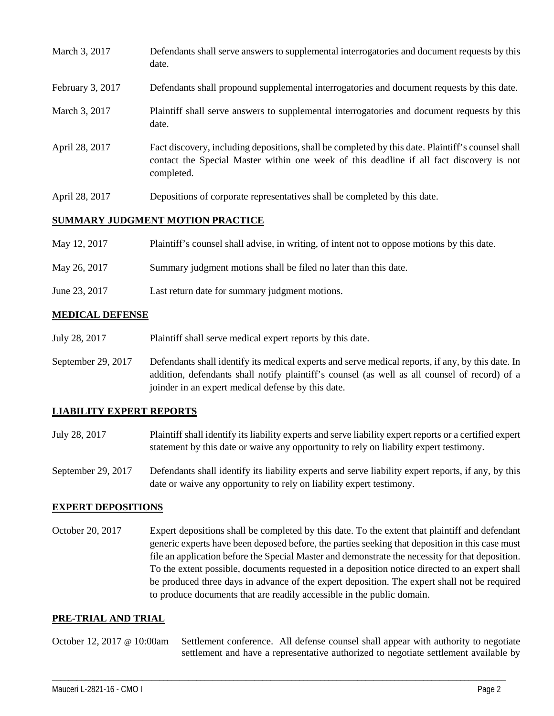| March 3, 2017    | Defendants shall serve answers to supplemental interrogatories and document requests by this<br>date.                                                                                                       |
|------------------|-------------------------------------------------------------------------------------------------------------------------------------------------------------------------------------------------------------|
| February 3, 2017 | Defendants shall propound supplemental interrogatories and document requests by this date.                                                                                                                  |
| March 3, 2017    | Plaintiff shall serve answers to supplemental interrogatories and document requests by this<br>date.                                                                                                        |
| April 28, 2017   | Fact discovery, including depositions, shall be completed by this date. Plaintiff's counsel shall<br>contact the Special Master within one week of this deadline if all fact discovery is not<br>completed. |
| April 28, 2017   | Depositions of corporate representatives shall be completed by this date.                                                                                                                                   |

## **SUMMARY JUDGMENT MOTION PRACTICE**

| May 12, 2017  | Plaintiff's counsel shall advise, in writing, of intent not to oppose motions by this date. |
|---------------|---------------------------------------------------------------------------------------------|
| May 26, 2017  | Summary judgment motions shall be filed no later than this date.                            |
| June 23, 2017 | Last return date for summary judgment motions.                                              |

## **MEDICAL DEFENSE**

- July 28, 2017 Plaintiff shall serve medical expert reports by this date.
- September 29, 2017 Defendants shall identify its medical experts and serve medical reports, if any, by this date. In addition, defendants shall notify plaintiff's counsel (as well as all counsel of record) of a joinder in an expert medical defense by this date.

# **LIABILITY EXPERT REPORTS**

- July 28, 2017 Plaintiff shall identify its liability experts and serve liability expert reports or a certified expert statement by this date or waive any opportunity to rely on liability expert testimony.
- September 29, 2017 Defendants shall identify its liability experts and serve liability expert reports, if any, by this date or waive any opportunity to rely on liability expert testimony.

## **EXPERT DEPOSITIONS**

October 20, 2017 Expert depositions shall be completed by this date. To the extent that plaintiff and defendant generic experts have been deposed before, the parties seeking that deposition in this case must file an application before the Special Master and demonstrate the necessity for that deposition. To the extent possible, documents requested in a deposition notice directed to an expert shall be produced three days in advance of the expert deposition. The expert shall not be required to produce documents that are readily accessible in the public domain.

## **PRE-TRIAL AND TRIAL**

October 12, 2017 @ 10:00am Settlement conference. All defense counsel shall appear with authority to negotiate settlement and have a representative authorized to negotiate settlement available by

\_\_\_\_\_\_\_\_\_\_\_\_\_\_\_\_\_\_\_\_\_\_\_\_\_\_\_\_\_\_\_\_\_\_\_\_\_\_\_\_\_\_\_\_\_\_\_\_\_\_\_\_\_\_\_\_\_\_\_\_\_\_\_\_\_\_\_\_\_\_\_\_\_\_\_\_\_\_\_\_\_\_\_\_\_\_\_\_\_\_\_\_\_\_\_\_\_\_\_\_\_\_\_\_\_\_\_\_\_\_